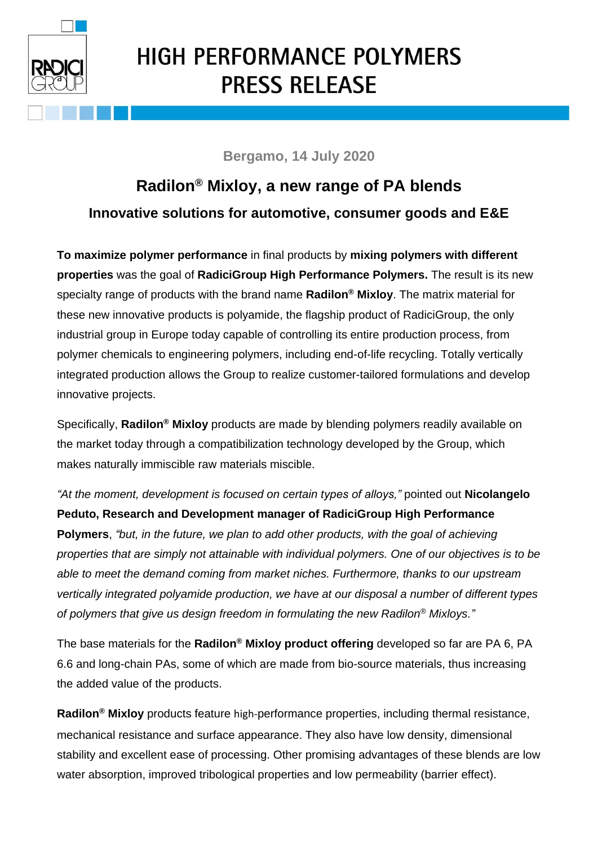

## **HIGH PERFORMANCE POLYMERS PRESS RELEASE**

## **Bergamo, 14 July 2020**

## **Radilon® Mixloy, a new range of PA blends Innovative solutions for automotive, consumer goods and E&E**

**To maximize polymer performance** in final products by **mixing polymers with different properties** was the goal of **RadiciGroup High Performance Polymers.** The result is its new specialty range of products with the brand name **Radilon® Mixloy**. The matrix material for these new innovative products is polyamide, the flagship product of RadiciGroup, the only industrial group in Europe today capable of controlling its entire production process, from polymer chemicals to engineering polymers, including end-of-life recycling. Totally vertically integrated production allows the Group to realize customer-tailored formulations and develop innovative projects.

Specifically, **Radilon® Mixloy** products are made by blending polymers readily available on the market today through a compatibilization technology developed by the Group, which makes naturally immiscible raw materials miscible.

*"At the moment, development is focused on certain types of alloys,"* pointed out **Nicolangelo Peduto, Research and Development manager of RadiciGroup High Performance Polymers**, *"but, in the future, we plan to add other products, with the goal of achieving properties that are simply not attainable with individual polymers. One of our objectives is to be able to meet the demand coming from market niches. Furthermore, thanks to our upstream vertically integrated polyamide production, we have at our disposal a number of different types of polymers that give us design freedom in formulating the new Radilon® Mixloys."*

The base materials for the **Radilon® Mixloy product offering** developed so far are PA 6, PA 6.6 and long-chain PAs, some of which are made from bio-source materials, thus increasing the added value of the products.

**Radilon® Mixloy** products feature high-performance properties, including thermal resistance, mechanical resistance and surface appearance. They also have low density, dimensional stability and excellent ease of processing. Other promising advantages of these blends are low water absorption, improved tribological properties and low permeability (barrier effect).